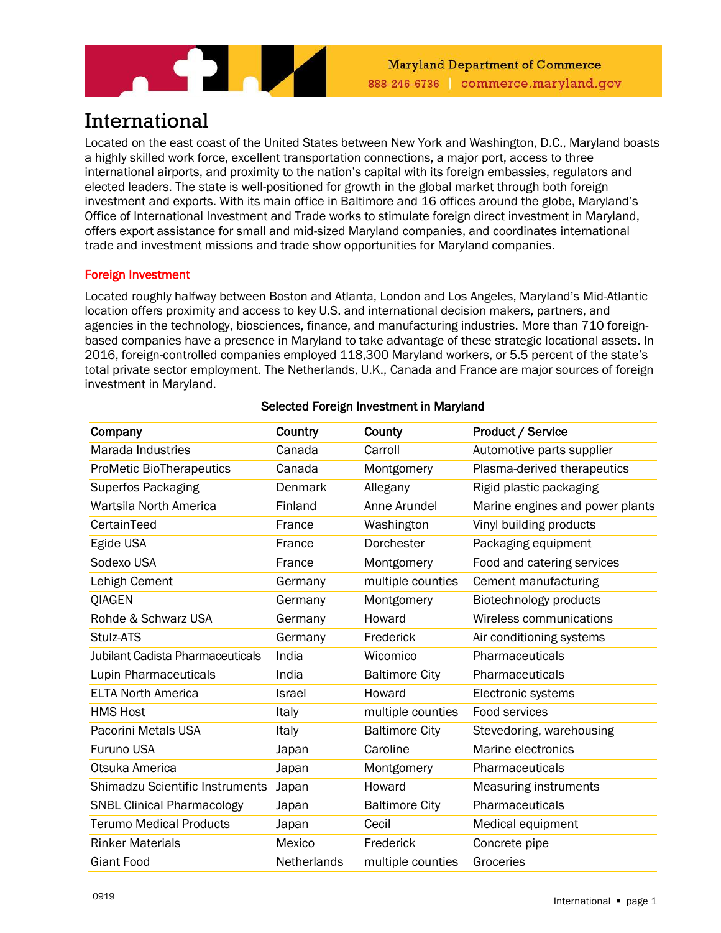

# International

Located on the east coast of the United States between New York and Washington, D.C., Maryland boasts a highly skilled work force, excellent transportation connections, a major port, access to three international airports, and proximity to the nation's capital with its foreign embassies, regulators and elected leaders. The state is well-positioned for growth in the global market through both foreign investment and exports. With its main office in Baltimore and 16 offices around the globe, Maryland's Office of International Investment and Trade works to stimulate foreign direct investment in Maryland, offers export assistance for small and mid-sized Maryland companies, and coordinates international trade and investment missions and trade show opportunities for Maryland companies.

# Foreign Investment

Located roughly halfway between Boston and Atlanta, London and Los Angeles, Maryland's Mid-Atlantic location offers proximity and access to key U.S. and international decision makers, partners, and agencies in the technology, biosciences, finance, and manufacturing industries. More than 710 foreignbased companies have a presence in Maryland to take advantage of these strategic locational assets. In 2016, foreign-controlled companies employed 118,300 Maryland workers, or 5.5 percent of the state's total private sector employment. The Netherlands, U.K., Canada and France are major sources of foreign investment in Maryland.

| Company                                 | Country     | County                | Product / Service               |
|-----------------------------------------|-------------|-----------------------|---------------------------------|
| <b>Marada Industries</b>                | Canada      | Carroll               | Automotive parts supplier       |
|                                         |             |                       |                                 |
| <b>ProMetic BioTherapeutics</b>         | Canada      | Montgomery            | Plasma-derived therapeutics     |
| <b>Superfos Packaging</b>               | Denmark     | Allegany              | Rigid plastic packaging         |
| Wartsila North America                  | Finland     | Anne Arundel          | Marine engines and power plants |
| CertainTeed                             | France      | Washington            | Vinyl building products         |
| Egide USA                               | France      | Dorchester            | Packaging equipment             |
| Sodexo USA                              | France      | Montgomery            | Food and catering services      |
| Lehigh Cement                           | Germany     | multiple counties     | Cement manufacturing            |
| <b>QIAGEN</b>                           | Germany     | Montgomery            | Biotechnology products          |
| Rohde & Schwarz USA                     | Germany     | Howard                | Wireless communications         |
| Stulz-ATS                               | Germany     | Frederick             | Air conditioning systems        |
| <b>Jubilant Cadista Pharmaceuticals</b> | India       | Wicomico              | Pharmaceuticals                 |
| Lupin Pharmaceuticals                   | India       | <b>Baltimore City</b> | Pharmaceuticals                 |
| <b>ELTA North America</b>               | Israel      | Howard                | Electronic systems              |
| <b>HMS Host</b>                         | Italy       | multiple counties     | Food services                   |
| Pacorini Metals USA                     | Italy       | <b>Baltimore City</b> | Stevedoring, warehousing        |
| <b>Furuno USA</b>                       | Japan       | Caroline              | Marine electronics              |
| Otsuka America                          | Japan       | Montgomery            | Pharmaceuticals                 |
| <b>Shimadzu Scientific Instruments</b>  | Japan       | Howard                | Measuring instruments           |
| <b>SNBL Clinical Pharmacology</b>       | Japan       | <b>Baltimore City</b> | Pharmaceuticals                 |
| <b>Terumo Medical Products</b>          | Japan       | Cecil                 | Medical equipment               |
| <b>Rinker Materials</b>                 | Mexico      | Frederick             | Concrete pipe                   |
| <b>Giant Food</b>                       | Netherlands | multiple counties     | Groceries                       |

# Selected Foreign Investment in Maryland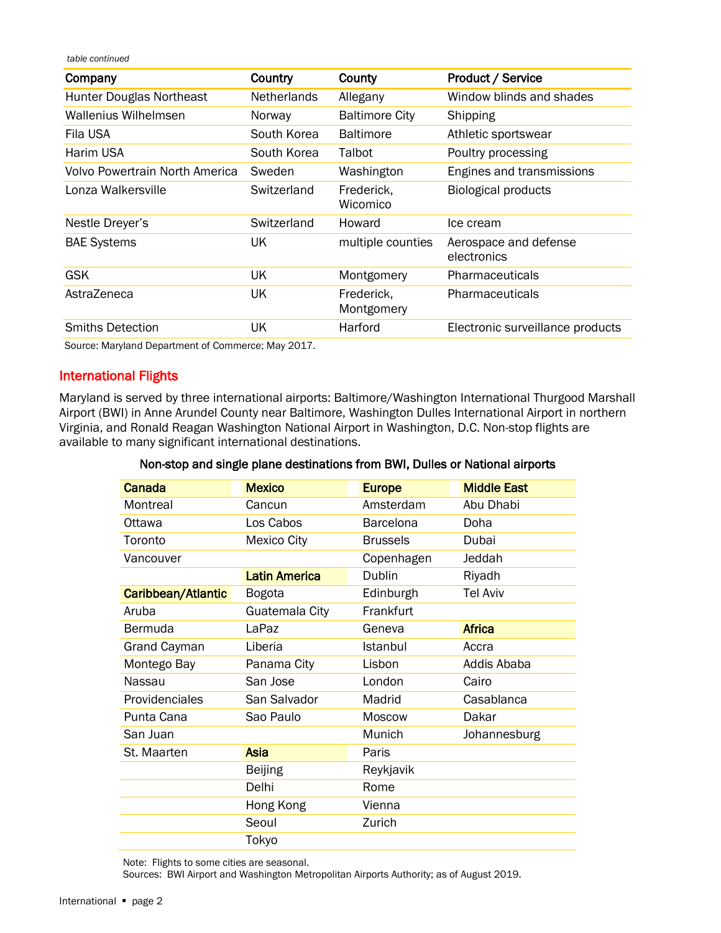*table continued*

| Company                        | Country            | County                   | <b>Product / Service</b>             |
|--------------------------------|--------------------|--------------------------|--------------------------------------|
| Hunter Douglas Northeast       | <b>Netherlands</b> | Allegany                 | Window blinds and shades             |
| Wallenius Wilhelmsen           | Norway             | <b>Baltimore City</b>    | Shipping                             |
| Fila USA                       | South Korea        | <b>Baltimore</b>         | Athletic sportswear                  |
| Harim USA                      | South Korea        | Talbot                   | Poultry processing                   |
| Volvo Powertrain North America | Sweden             | Washington               | Engines and transmissions            |
| Lonza Walkersville             | Switzerland        | Frederick.<br>Wicomico   | <b>Biological products</b>           |
| Nestle Dreyer's                | Switzerland        | Howard                   | Ice cream                            |
| <b>BAE Systems</b>             | UK                 | multiple counties        | Aerospace and defense<br>electronics |
| <b>GSK</b>                     | UK                 | Montgomery               | Pharmaceuticals                      |
| AstraZeneca                    | UK                 | Frederick,<br>Montgomery | Pharmaceuticals                      |
| <b>Smiths Detection</b>        | UK                 | Harford                  | Electronic surveillance products     |

Source: Maryland Department of Commerce; May 2017.

## International Flights

Maryland is served by three international airports: Baltimore/Washington International Thurgood Marshall Airport (BWI) in Anne Arundel County near Baltimore, Washington Dulles International Airport in northern Virginia, and Ronald Reagan Washington National Airport in Washington, D.C. Non-stop flights are available to many significant international destinations.

#### Non-stop and single plane destinations from BWI, Dulles or National airports

| Canada              | <b>Mexico</b>      | <b>Europe</b>   | <b>Middle East</b> |
|---------------------|--------------------|-----------------|--------------------|
| Montreal            | Cancun             | Amsterdam       | Abu Dhabi          |
| Ottawa              | Los Cabos          | Barcelona       | Doha               |
| Toronto             | <b>Mexico City</b> | <b>Brussels</b> | Dubai              |
| Vancouver           |                    | Copenhagen      | Jeddah             |
|                     | Latin America      | Dublin          | Riyadh             |
| Caribbean/Atlantic  | <b>Bogota</b>      | Edinburgh       | <b>Tel Aviv</b>    |
| Aruba               | Guatemala City     | Frankfurt       |                    |
| Bermuda             | LaPaz              | Geneva          | <b>Africa</b>      |
| <b>Grand Cayman</b> | Liberia            | Istanbul        | Accra              |
| Montego Bay         | Panama City        | Lisbon          | Addis Ababa        |
| Nassau              | San Jose           | London          | Cairo              |
| Providenciales      | San Salvador       | Madrid          | Casablanca         |
| Punta Cana          | Sao Paulo          | <b>Moscow</b>   | Dakar              |
| San Juan            |                    | Munich          | Johannesburg       |
| St. Maarten         | Asia               | Paris           |                    |
|                     | <b>Beijing</b>     | Reykjavik       |                    |
|                     | Delhi              | Rome            |                    |
|                     | Hong Kong          | Vienna          |                    |
|                     | Seoul              | Zurich          |                    |
|                     | Tokyo              |                 |                    |

Note: Flights to some cities are seasonal.

Sources: BWI Airport and Washington Metropolitan Airports Authority; as of August 2019.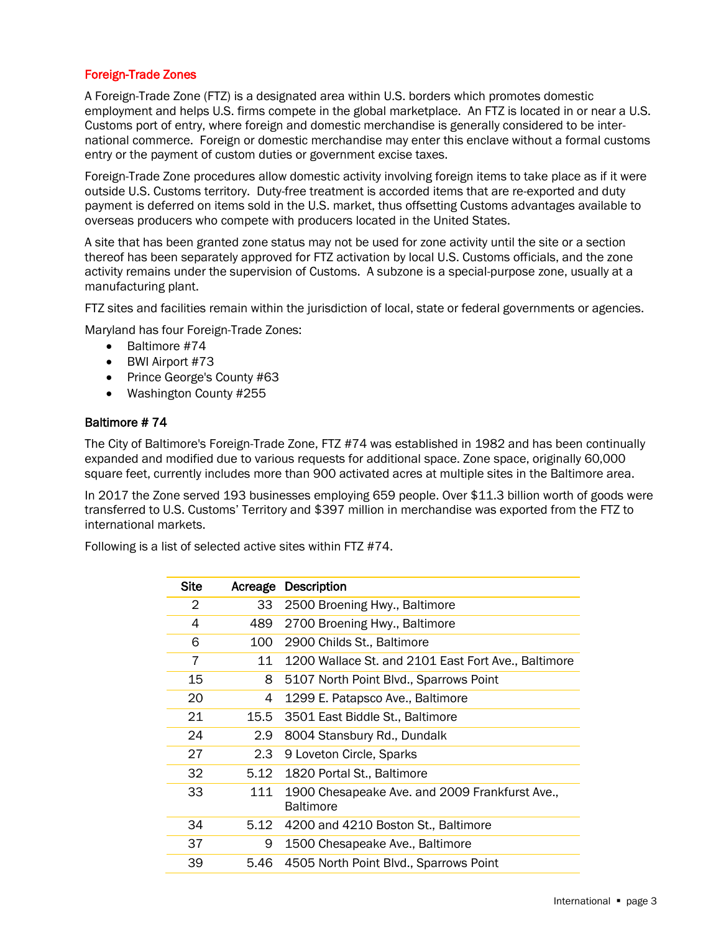### Foreign-Trade Zones

A Foreign-Trade Zone (FTZ) is a designated area within U.S. borders which promotes domestic employment and helps U.S. firms compete in the global marketplace. An FTZ is located in or near a U.S. Customs port of entry, where foreign and domestic merchandise is generally considered to be international commerce. Foreign or domestic merchandise may enter this enclave without a formal customs entry or the payment of custom duties or government excise taxes.

Foreign-Trade Zone procedures allow domestic activity involving foreign items to take place as if it were outside U.S. Customs territory. Duty-free treatment is accorded items that are re-exported and duty payment is deferred on items sold in the U.S. market, thus offsetting Customs advantages available to overseas producers who compete with producers located in the United States.

A site that has been granted zone status may not be used for zone activity until the site or a section thereof has been separately approved for FTZ activation by local U.S. Customs officials, and the zone activity remains under the supervision of Customs. A subzone is a special-purpose zone, usually at a manufacturing plant.

FTZ sites and facilities remain within the jurisdiction of local, state or federal governments or agencies.

Maryland has four Foreign-Trade Zones:

- Baltimore #74
- BWI Airport #73
- Prince George's County #63
- Washington County #255

#### Baltimore # 74

The City of Baltimore's Foreign-Trade Zone, FTZ #74 was established in 1982 and has been continually expanded and modified due to various requests for additional space. Zone space, originally 60,000 square feet, currently includes more than 900 activated acres at multiple sites in the Baltimore area.

In 2017 the Zone served 193 businesses employing 659 people. Over \$11.3 billion worth of goods were transferred to U.S. Customs' Territory and \$397 million in merchandise was exported from the FTZ to international markets.

Following is a list of selected active sites within FTZ #74.

| <b>Site</b> | Acreage          | Description                                                        |
|-------------|------------------|--------------------------------------------------------------------|
| 2           | 33               | 2500 Broening Hwy., Baltimore                                      |
| 4           | 489              | 2700 Broening Hwy., Baltimore                                      |
| 6           | 100              | 2900 Childs St., Baltimore                                         |
| 7           | 11               | 1200 Wallace St. and 2101 East Fort Ave., Baltimore                |
| 15          | 8                | 5107 North Point Blvd., Sparrows Point                             |
| 20          | 4                | 1299 E. Patapsco Ave., Baltimore                                   |
| 21          | 15.5             | 3501 East Biddle St., Baltimore                                    |
| 24          | 2.9 <sub>2</sub> | 8004 Stansbury Rd., Dundalk                                        |
| 27          | 2.3              | 9 Loveton Circle, Sparks                                           |
| 32          | 5.12             | 1820 Portal St., Baltimore                                         |
| 33          | 111              | 1900 Chesapeake Ave. and 2009 Frankfurst Ave.,<br><b>Baltimore</b> |
| 34          | 5.12             | 4200 and 4210 Boston St., Baltimore                                |
| 37          | 9                | 1500 Chesapeake Ave., Baltimore                                    |
| 39          | 5.46             | 4505 North Point Blvd., Sparrows Point                             |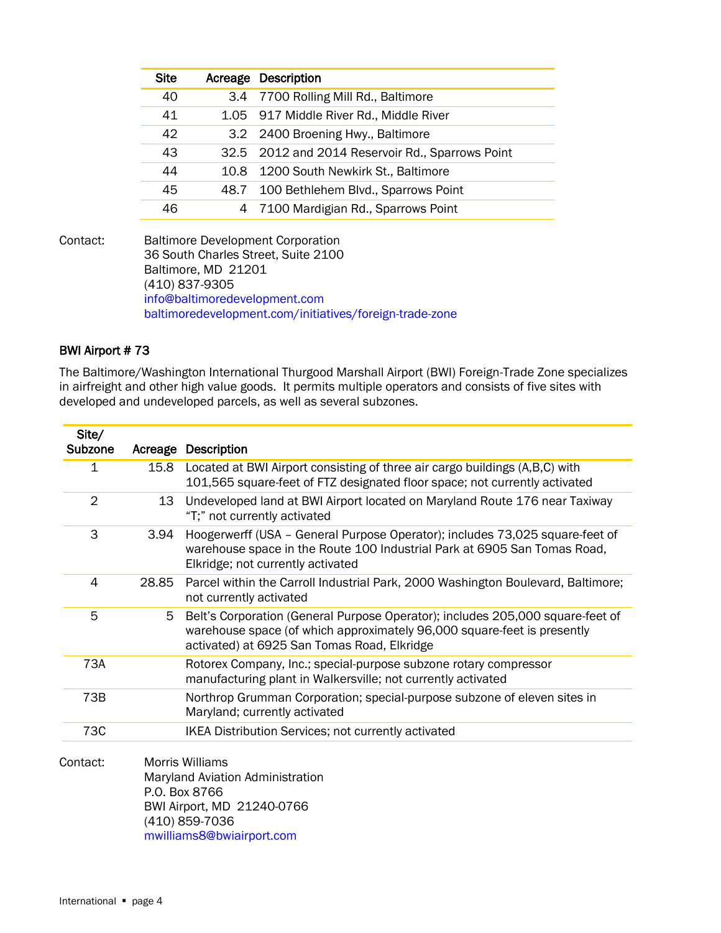|      | <b>Acreage Description</b>                       |
|------|--------------------------------------------------|
|      | 3.4 7700 Rolling Mill Rd., Baltimore             |
|      | 1.05 917 Middle River Rd., Middle River          |
|      | 3.2 2400 Broening Hwy., Baltimore                |
|      | 32.5 2012 and 2014 Reservoir Rd., Sparrows Point |
|      | 10.8 1200 South Newkirk St., Baltimore           |
| 48.7 | 100 Bethlehem Blvd., Sparrows Point              |
|      | 4 7100 Mardigian Rd., Sparrows Point             |
|      |                                                  |

Contact: Baltimore Development Corporation 36 South Charles Street, Suite 2100 Baltimore, MD 21201 (410) 837-9305 [info@baltimoredevelopment.com](mailto:info@baltimoredevelopment.com) [baltimoredevelopment.com/initiatives/foreign-trade-zone](http://baltimoredevelopment.com/initiatives/foreign-trade-zone/)

# BWI Airport # 73

The Baltimore/Washington International Thurgood Marshall Airport (BWI) Foreign-Trade Zone specializes in airfreight and other high value goods. It permits multiple operators and consists of five sites with developed and undeveloped parcels, as well as several subzones.

| Site/<br>Subzone | Acreage | <b>Description</b>                                                                                                                                                                                       |
|------------------|---------|----------------------------------------------------------------------------------------------------------------------------------------------------------------------------------------------------------|
| 1                | 15.8    | Located at BWI Airport consisting of three air cargo buildings (A,B,C) with<br>101,565 square-feet of FTZ designated floor space; not currently activated                                                |
| $\overline{2}$   | 13      | Undeveloped land at BWI Airport located on Maryland Route 176 near Taxiway<br>"T;" not currently activated                                                                                               |
| 3                | 3.94    | Hoogerwerff (USA - General Purpose Operator); includes 73,025 square-feet of<br>warehouse space in the Route 100 Industrial Park at 6905 San Tomas Road,<br>Elkridge; not currently activated            |
| 4                | 28.85   | Parcel within the Carroll Industrial Park, 2000 Washington Boulevard, Baltimore;<br>not currently activated                                                                                              |
| 5                | 5       | Belt's Corporation (General Purpose Operator); includes 205,000 square-feet of<br>warehouse space (of which approximately 96,000 square-feet is presently<br>activated) at 6925 San Tomas Road, Elkridge |
| 73A              |         | Rotorex Company, Inc.; special-purpose subzone rotary compressor<br>manufacturing plant in Walkersville; not currently activated                                                                         |
| 73B              |         | Northrop Grumman Corporation; special-purpose subzone of eleven sites in<br>Maryland; currently activated                                                                                                |
| 73C              |         | IKEA Distribution Services; not currently activated                                                                                                                                                      |
| Contact:         |         | Morris Williams<br>Maryland Aviation Administration<br>P.O. Box 8766<br>BWI Airport, MD 21240-0766<br>(410) 859-7036<br>mwilliams8@bwiairport.com                                                        |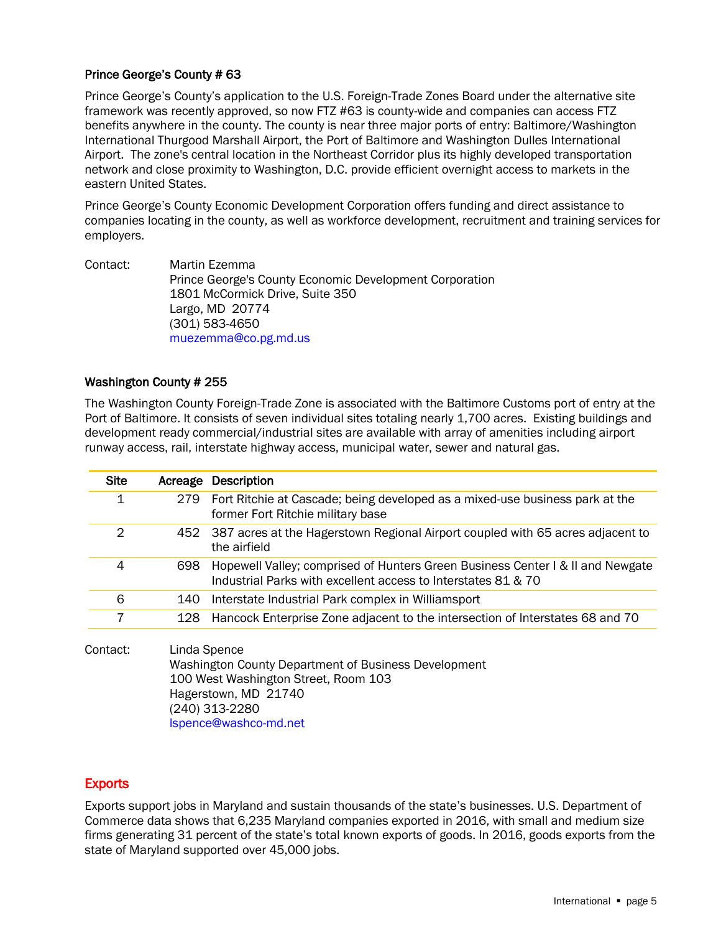### Prince George's County # 63

Prince George's County's application to the U.S. Foreign-Trade Zones Board under the alternative site framework was recently approved, so now FTZ #63 is county-wide and companies can access FTZ benefits anywhere in the county. The county is near three major ports of entry: Baltimore/Washington International Thurgood Marshall Airport, the Port of Baltimore and Washington Dulles International Airport. The zone's central location in the Northeast Corridor plus its highly developed transportation network and close proximity to Washington, D.C. provide efficient overnight access to markets in the eastern United States.

Prince George's County Economic Development Corporation offers funding and direct assistance to companies locating in the county, as well as workforce development, recruitment and training services for employers.

Contact: Martin Ezemma Prince George's County Economic Development Corporation 1801 McCormick Drive, Suite 350 Largo, MD 20774 (301) 583-4650 [muezemma@co.pg.md.us](mailto:muezemma@co.pg.md.us)

### Washington County # 255

The Washington County Foreign-Trade Zone is associated with the Baltimore Customs port of entry at the Port of Baltimore. It consists of seven individual sites totaling nearly 1,700 acres. Existing buildings and development ready commercial/industrial sites are available with array of amenities including airport runway access, rail, interstate highway access, municipal water, sewer and natural gas.

| <b>Site</b> |     | Acreage Description                                                                                                                             |
|-------------|-----|-------------------------------------------------------------------------------------------------------------------------------------------------|
| 1           | 279 | Fort Ritchie at Cascade; being developed as a mixed-use business park at the<br>former Fort Ritchie military base                               |
| 2           |     | 452 387 acres at the Hagerstown Regional Airport coupled with 65 acres adjacent to<br>the airfield                                              |
| 4           | 698 | Hopewell Valley; comprised of Hunters Green Business Center I & II and Newgate<br>Industrial Parks with excellent access to Interstates 81 & 70 |
| 6           | 140 | Interstate Industrial Park complex in Williamsport                                                                                              |
|             | 128 | Hancock Enterprise Zone adjacent to the intersection of Interstates 68 and 70                                                                   |
|             |     |                                                                                                                                                 |

Contact: Linda Spence Washington County Department of Business Development 100 West Washington Street, Room 103 Hagerstown, MD 21740 (240) 313-2280 [lspence@washco-md.net](mailto:lspence@washco-md.net)

# **Exports**

Exports support jobs in Maryland and sustain thousands of the state's businesses. U.S. Department of Commerce data shows that 6,235 Maryland companies exported in 2016, with small and medium size firms generating 31 percent of the state's total known exports of goods. In 2016, goods exports from the state of Maryland supported over 45,000 jobs.